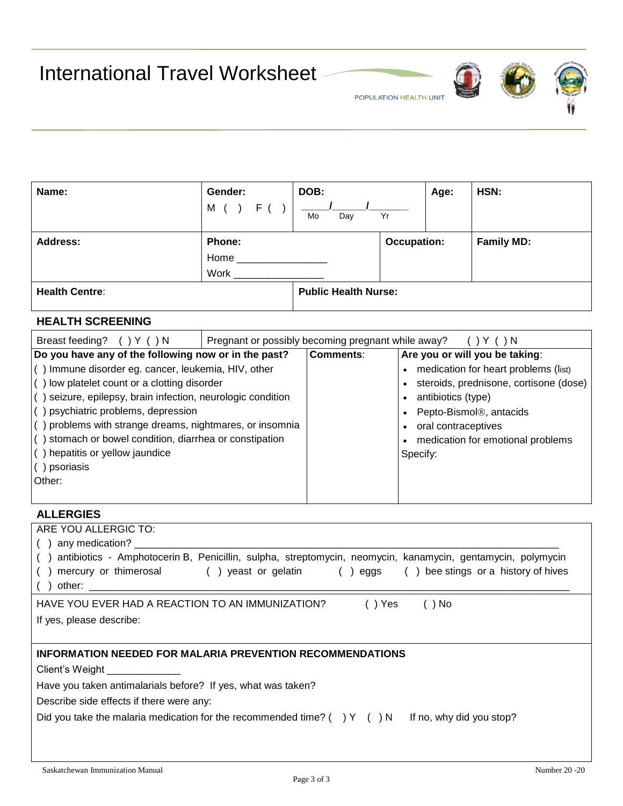International Travel Worksheet







| Name:                 | Gender:<br>м           | DOB:<br>Mo<br>Day           | Yr                 | Age: | HSN:              |
|-----------------------|------------------------|-----------------------------|--------------------|------|-------------------|
| <b>Address:</b>       | Phone:<br>Home<br>Work |                             | <b>Occupation:</b> |      | <b>Family MD:</b> |
| <b>Health Centre:</b> |                        | <b>Public Health Nurse:</b> |                    |      |                   |

## **HEALTH SCREENING**

| Breast feeding?<br>$\rightarrow$ N                                                                                                                                                                                                                                                                                                                                                                 | Pregnant or possibly becoming pregnant while away?<br>( ) N |           |                                                                                                                                                                                                                          |  |  |  |
|----------------------------------------------------------------------------------------------------------------------------------------------------------------------------------------------------------------------------------------------------------------------------------------------------------------------------------------------------------------------------------------------------|-------------------------------------------------------------|-----------|--------------------------------------------------------------------------------------------------------------------------------------------------------------------------------------------------------------------------|--|--|--|
| Do you have any of the following now or in the past?                                                                                                                                                                                                                                                                                                                                               |                                                             | Comments: | Are you or will you be taking:                                                                                                                                                                                           |  |  |  |
| () Immune disorder eg. cancer, leukemia, HIV, other<br>() low platelet count or a clotting disorder<br>() seizure, epilepsy, brain infection, neurologic condition<br>$($ ) psychiatric problems, depression<br>$($ ) problems with strange dreams, nightmares, or insomnia<br>() stomach or bowel condition, diarrhea or constipation<br>() hepatitis or yellow jaundice<br>) psoriasis<br>Other: |                                                             |           | medication for heart problems (list)<br>steroids, prednisone, cortisone (dose)  <br>antibiotics (type)<br>Pepto-Bismol <sup>®</sup> , antacids<br>• oral contraceptives<br>medication for emotional problems<br>Specify: |  |  |  |
|                                                                                                                                                                                                                                                                                                                                                                                                    |                                                             |           |                                                                                                                                                                                                                          |  |  |  |

### **ALLERGIES**

| ARE YOU ALLERGIC TO:                                                                                                                                                                                                                                                                                                    |
|-------------------------------------------------------------------------------------------------------------------------------------------------------------------------------------------------------------------------------------------------------------------------------------------------------------------------|
| any medication?                                                                                                                                                                                                                                                                                                         |
| antibiotics - Amphotocerin B, Penicillin, sulpha, streptomycin, neomycin, kanamycin, gentamycin, polymycin                                                                                                                                                                                                              |
| mercury or thimerosal () yeast or gelatin () eggs () bee stings or a history of hives<br>other: the contract of the contract of the contract of the contract of the contract of the contract of the contract of the contract of the contract of the contract of the contract of the contract of the contract of the con |
| HAVE YOU EVER HAD A REACTION TO AN IMMUNIZATION?<br>$( )$ Yes<br>$( )$ No                                                                                                                                                                                                                                               |
| If yes, please describe:                                                                                                                                                                                                                                                                                                |
|                                                                                                                                                                                                                                                                                                                         |
| <b>INFORMATION NEEDED FOR MALARIA PREVENTION RECOMMENDATIONS</b>                                                                                                                                                                                                                                                        |
| Client's Weight ____________                                                                                                                                                                                                                                                                                            |
| Have you taken antimalarials before? If yes, what was taken?                                                                                                                                                                                                                                                            |
| Describe side effects if there were any:                                                                                                                                                                                                                                                                                |
| Did you take the malaria medication for the recommended time? () Y () N If no, why did you stop?                                                                                                                                                                                                                        |
|                                                                                                                                                                                                                                                                                                                         |
|                                                                                                                                                                                                                                                                                                                         |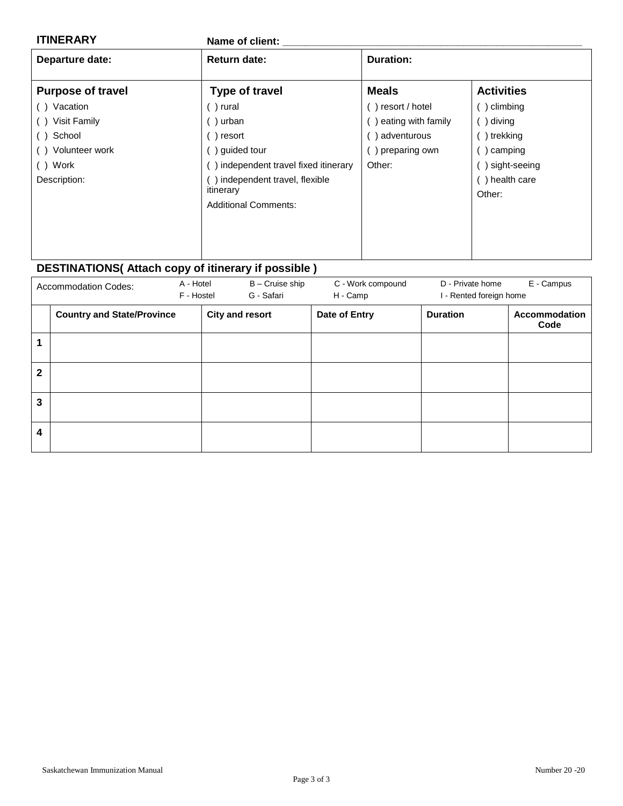| <b>ITINERARY</b>                                                                                                     | Name of client:                                                                                                                                                                  |                                                                                |                                                                                                |  |  |  |  |
|----------------------------------------------------------------------------------------------------------------------|----------------------------------------------------------------------------------------------------------------------------------------------------------------------------------|--------------------------------------------------------------------------------|------------------------------------------------------------------------------------------------|--|--|--|--|
| Departure date:                                                                                                      | <b>Return date:</b>                                                                                                                                                              | <b>Duration:</b>                                                               |                                                                                                |  |  |  |  |
| <b>Purpose of travel</b>                                                                                             | <b>Type of travel</b>                                                                                                                                                            | <b>Meals</b>                                                                   | <b>Activities</b>                                                                              |  |  |  |  |
| Vacation<br>( )<br><b>Visit Family</b><br>( )<br>School<br>$($ )<br>Volunteer work<br>( )<br>() Work<br>Description: | ()rural<br>$( )$ urban<br>$( )$ resort<br>() guided tour<br>() independent travel fixed itinerary<br>() independent travel, flexible<br>itinerary<br><b>Additional Comments:</b> | resort / hotel<br>eating with family<br>adventurous<br>preparing own<br>Other: | b climbing<br>)diving<br>) trekking<br>) camping<br>) sight-seeing<br>() health care<br>Other: |  |  |  |  |
|                                                                                                                      |                                                                                                                                                                                  |                                                                                |                                                                                                |  |  |  |  |

# **DESTINATIONS( Attach copy of itinerary if possible )**

|              | <b>Accommodation Codes:</b>       | A - Hotel<br>F - Hostel | B - Cruise ship<br>G - Safari | C - Work compound<br>H - Camp | D - Private home<br>I - Rented foreign home | E - Campus            |
|--------------|-----------------------------------|-------------------------|-------------------------------|-------------------------------|---------------------------------------------|-----------------------|
|              | <b>Country and State/Province</b> |                         | <b>City and resort</b>        | Date of Entry                 | <b>Duration</b>                             | Accommodation<br>Code |
|              |                                   |                         |                               |                               |                                             |                       |
| $\mathbf{2}$ |                                   |                         |                               |                               |                                             |                       |
| 3            |                                   |                         |                               |                               |                                             |                       |
| 4            |                                   |                         |                               |                               |                                             |                       |